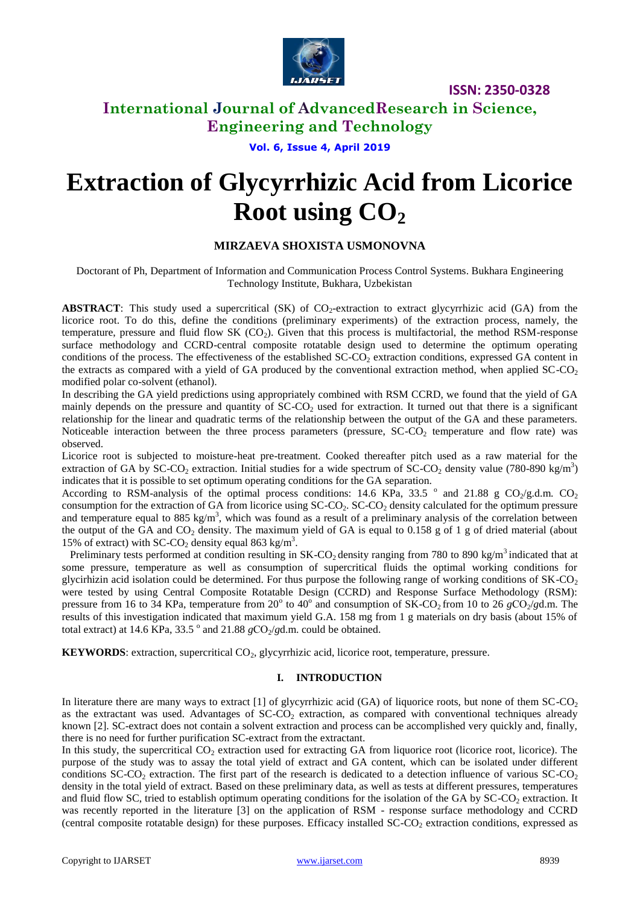

## **International Journal of AdvancedResearch in Science, Engineering and Technology**

## **Vol. 6, Issue 4, April 2019**

# **Extraction of Glycyrrhizic Acid from Licorice Root using CO<sup>2</sup>**

## **MIRZAEVA SHOXISTA USMONOVNA**

Doctorant of Ph, Department of Information and Communication Process Control Systems. Bukhara Engineering Technology Institute, Bukhara, Uzbekistan

**ABSTRACT**: This study used a supercritical  $(SK)$  of  $CO<sub>2</sub>$ -extraction to extract glycyrrhizic acid  $(GA)$  from the licorice root. To do this, define the conditions (preliminary experiments) of the extraction process, namely, the temperature, pressure and fluid flow SK (CO<sub>2</sub>). Given that this process is multifactorial, the method RSM-response surface methodology and CCRD-central composite rotatable design used to determine the optimum operating conditions of the process. The effectiveness of the established  $SC\text{-}CO<sub>2</sub>$  extraction conditions, expressed GA content in the extracts as compared with a yield of GA produced by the conventional extraction method, when applied  $SC-CO<sub>2</sub>$ modified polar co-solvent (ethanol).

In describing the GA yield predictions using appropriately combined with RSM CCRD, we found that the yield of GA mainly depends on the pressure and quantity of  $SC-CO<sub>2</sub>$  used for extraction. It turned out that there is a significant relationship for the linear and quadratic terms of the relationship between the output of the GA and these parameters. Noticeable interaction between the three process parameters (pressure,  $SC\text{-}CO<sub>2</sub>$  temperature and flow rate) was observed.

Licorice root is subjected to moisture-heat pre-treatment. Cooked thereafter pitch used as a raw material for the extraction of GA by SC-CO<sub>2</sub> extraction. Initial studies for a wide spectrum of SC-CO<sub>2</sub> density value (780-890 kg/m<sup>3</sup>) indicates that it is possible to set optimum operating conditions for the GA separation.

According to RSM-analysis of the optimal process conditions: 14.6 KPa, 33.5  $\degree$  and 21.88 g CO<sub>2</sub>/g.d.m. CO<sub>2</sub> consumption for the extraction of GA from licorice using  $SC\text{-}CO<sub>2</sub>$ .  $SC\text{-}CO<sub>2</sub>$  density calculated for the optimum pressure and temperature equal to 885 kg/m<sup>3</sup>, which was found as a result of a preliminary analysis of the correlation between the output of the GA and  $CO<sub>2</sub>$  density. The maximum yield of GA is equal to 0.158 g of 1 g of dried material (about 15% of extract) with SC-CO<sub>2</sub> density equal 863 kg/m<sup>3</sup>.

Preliminary tests performed at condition resulting in  $SK\text{-}CO_2$  density ranging from 780 to 890 kg/m<sup>3</sup> indicated that at some pressure, temperature as well as consumption of supercritical fluids the optimal working conditions for glycirhizin acid isolation could be determined. For thus purpose the following range of working conditions of  $SK-CO<sub>2</sub>$ were tested by using Central Composite Rotatable Design (CCRD) and Response Surface Methodology (RSM): pressure from 16 to 34 KPa, temperature from 20<sup>°</sup> to 40<sup>°</sup> and consumption of SK-CO<sub>2</sub> from 10 to 26  $gCO_2/gd.m.$  The results of this investigation indicated that maximum yield G.A. 158 mg from 1 g materials on dry basis (about 15% of total extract) at 14.6 KPa, 33.5<sup>°</sup> and 21.88  $gCO_2/gd.m.$  could be obtained.

**KEYWORDS**: extraction, supercritical CO<sub>2</sub>, glycyrrhizic acid, licorice root, temperature, pressure.

#### **I. INTRODUCTION**

In literature there are many ways to extract  $[1]$  of glycyrrhizic acid  $(GA)$  of liquorice roots, but none of them  $SC-CO<sub>2</sub>$ as the extractant was used. Advantages of SC-CO<sub>2</sub> extraction, as compared with conventional techniques already known [2]. SC-extract does not contain a solvent extraction and process can be accomplished very quickly and, finally, there is no need for further purification SC-extract from the extractant.

In this study, the supercritical  $CO<sub>2</sub>$  extraction used for extracting GA from liquorice root (licorice root, licorice). The purpose of the study was to assay the total yield of extract and GA content, which can be isolated under different conditions SC-CO<sub>2</sub> extraction. The first part of the research is dedicated to a detection influence of various  $SC-CO<sub>2</sub>$ density in the total yield of extract. Based on these preliminary data, as well as tests at different pressures, temperatures and fluid flow SC, tried to establish optimum operating conditions for the isolation of the GA by SC-CO<sub>2</sub> extraction. It was recently reported in the literature [3] on the application of RSM - response surface methodology and CCRD (central composite rotatable design) for these purposes. Efficacy installed SC-CO<sub>2</sub> extraction conditions, expressed as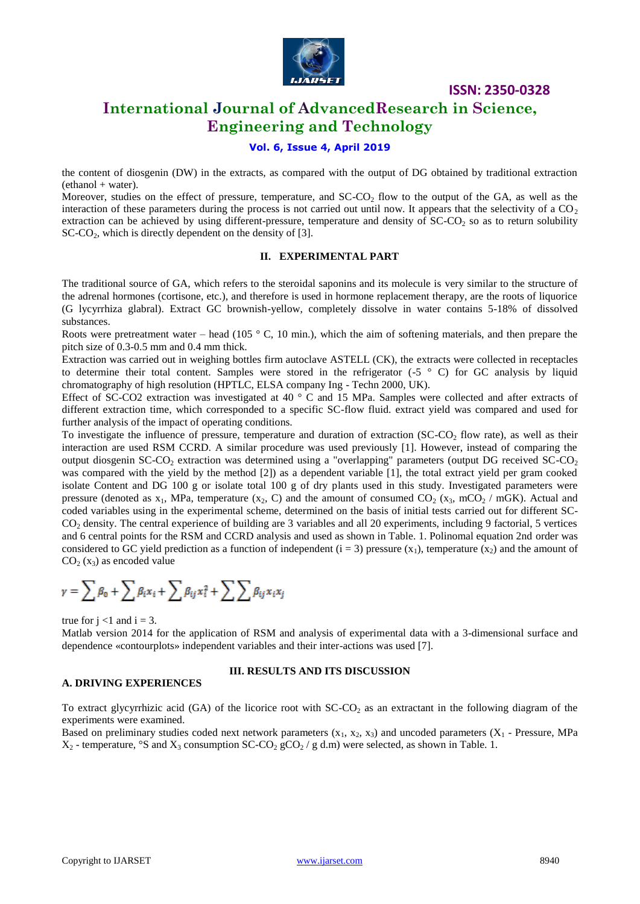

# **International Journal of AdvancedResearch in Science, Engineering and Technology**

#### **Vol. 6, Issue 4, April 2019**

the content of diosgenin (DW) in the extracts, as compared with the output of DG obtained by traditional extraction  $(ethanol + water)$ .

Moreover, studies on the effect of pressure, temperature, and  $SC\text{-}CO<sub>2</sub>$  flow to the output of the GA, as well as the interaction of these parameters during the process is not carried out until now. It appears that the selectivity of a  $CO<sub>2</sub>$ extraction can be achieved by using different-pressure, temperature and density of  $SCCO<sub>2</sub>$  so as to return solubility SC-CO<sub>2</sub>, which is directly dependent on the density of [3].

#### **II. EXPERIMENTAL PART**

The traditional source of GA, which refers to the steroidal saponins and its molecule is very similar to the structure of the adrenal hormones (cortisone, etc.), and therefore is used in hormone replacement therapy, are the roots of liquorice (G lycyrrhiza glabral). Extract GC brownish-yellow, completely dissolve in water contains 5-18% of dissolved substances.

Roots were pretreatment water – head (105  $\degree$  C, 10 min.), which the aim of softening materials, and then prepare the pitch size of 0.3-0.5 mm and 0.4 mm thick.

Extraction was carried out in weighing bottles firm autoclave ASTELL (CK), the extracts were collected in receptacles to determine their total content. Samples were stored in the refrigerator  $(-5 \degree C)$  for GC analysis by liquid chromatography of high resolution (HPTLC, ELSA company Ing - Techn 2000, UK).

Effect of SC-CO2 extraction was investigated at 40 ° C and 15 MPa. Samples were collected and after extracts of different extraction time, which corresponded to a specific SC-flow fluid. extract yield was compared and used for further analysis of the impact of operating conditions.

To investigate the influence of pressure, temperature and duration of extraction (SC-CO<sub>2</sub> flow rate), as well as their interaction are used RSM CCRD. A similar procedure was used previously [1]. However, instead of comparing the output diosgenin SC-CO<sub>2</sub> extraction was determined using a "overlapping" parameters (output DG received SC-CO<sub>2</sub> was compared with the yield by the method [2]) as a dependent variable [1], the total extract yield per gram cooked isolate Content and DG 100 g or isolate total 100 g of dry plants used in this study. Investigated parameters were pressure (denoted as  $x_1$ , MPa, temperature ( $x_2$ , C) and the amount of consumed  $CO_2$  ( $x_3$ , mCO<sub>2</sub> / mGK). Actual and coded variables using in the experimental scheme, determined on the basis of initial tests carried out for different SC- $CO<sub>2</sub>$  density. The central experience of building are 3 variables and all 20 experiments, including 9 factorial, 5 vertices and 6 central points for the RSM and CCRD analysis and used as shown in Table. 1. Polinomal equation 2nd order was considered to GC yield prediction as a function of independent  $(i = 3)$  pressure  $(x_1)$ , temperature  $(x_2)$  and the amount of  $CO<sub>2</sub>$  (x<sub>3</sub>) as encoded value

$$
\gamma = \sum \beta_0 + \sum \beta_i x_i + \sum \beta_{ij} x_i^2 + \sum \sum \beta_{ij} x_i x_j
$$

true for  $j < 1$  and  $i = 3$ .

Matlab version 2014 for the application of RSM and analysis of experimental data with a 3-dimensional surface and dependence «contourplots» independent variables and their inter-actions was used [7].

#### **A. DRIVING EXPERIENCES**

#### **III. RESULTS AND ITS DISCUSSION**

To extract glycyrrhizic acid (GA) of the licorice root with  $SC\text{-}CO<sub>2</sub>$  as an extractant in the following diagram of the experiments were examined.

Based on preliminary studies coded next network parameters  $(x_1, x_2, x_3)$  and uncoded parameters  $(X_1$  - Pressure, MPa  $X_2$  - temperature, °S and  $X_3$  consumption SC-CO<sub>2</sub> gCO<sub>2</sub> / g d.m) were selected, as shown in Table. 1.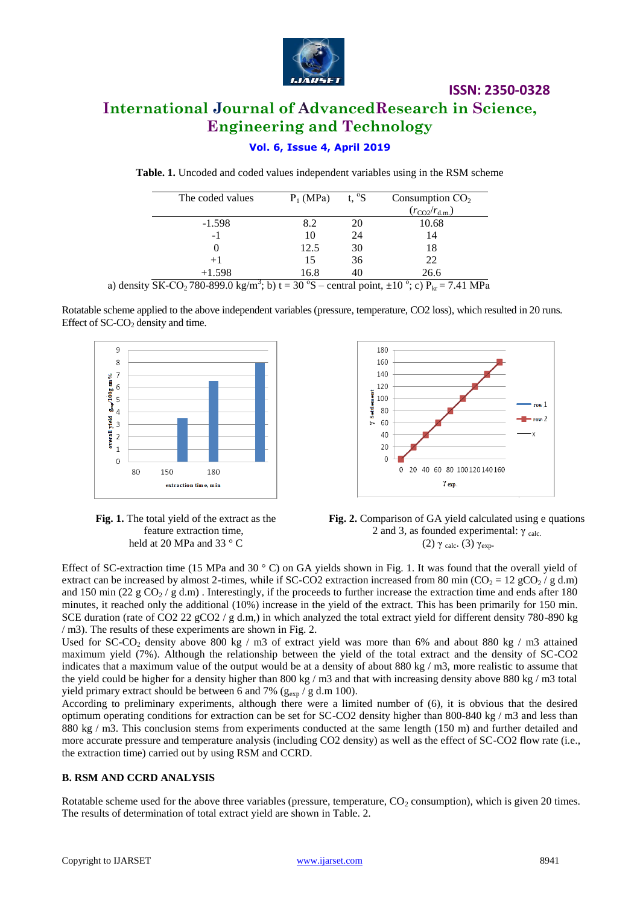

# **International Journal of AdvancedResearch in Science, Engineering and Technology**

## **Vol. 6, Issue 4, April 2019**

**Table. 1.** Uncoded and coded values independent variables using in the RSM scheme

| The coded values | $P_1(MPa)$ | t, $\mathrm{^0S}$<br>Consumption $CO2$ |                              |
|------------------|------------|----------------------------------------|------------------------------|
|                  |            |                                        | $(r_{\rm CO2}/r_{\rm d.m.})$ |
| $-1.598$         | 8.2        | 20                                     | 10.68                        |
| $-1$             | 10         | 24                                     | 14                           |
|                  | 12.5       | 30                                     | 18                           |
| $+1$             | 15         | 36                                     | 22                           |
| $+1.598$         | 16.8       |                                        | 26.6                         |

a) density  $SK\text{-}CO_2$  780-899.0 kg/m<sup>3</sup>; b) t = 30 °S – central point,  $\pm 10$  °; c) P<sub>kr</sub> = 7.41 MPa

Rotatable scheme applied to the above independent variables (pressure, temperature, CO2 loss), which resulted in 20 runs. Effect of  $SC$ - $CO<sub>2</sub>$  density and time.









Effect of SC-extraction time (15 MPa and 30  $\degree$  C) on GA yields shown in Fig. 1. It was found that the overall yield of extract can be increased by almost 2-times, while if SC-CO2 extraction increased from 80 min (CO<sub>2</sub> = 12 gCO<sub>2</sub>/g d.m) and 150 min (22 g  $CO_2$  / g d.m). Interestingly, if the proceeds to further increase the extraction time and ends after 180 minutes, it reached only the additional (10%) increase in the yield of the extract. This has been primarily for 150 min. SCE duration (rate of CO2 22 gCO2 / g d.m.) in which analyzed the total extract yield for different density 780-890 kg / m3). The results of these experiments are shown in Fig. 2.

Used for SC-CO<sub>2</sub> density above 800 kg / m3 of extract yield was more than 6% and about 880 kg / m3 attained maximum yield (7%). Although the relationship between the yield of the total extract and the density of SC-CO2 indicates that a maximum value of the output would be at a density of about 880 kg / m3, more realistic to assume that the yield could be higher for a density higher than 800 kg / m3 and that with increasing density above 880 kg / m3 total yield primary extract should be between 6 and 7% ( $g_{\rm exp}/g$  d.m 100).

According to preliminary experiments, although there were a limited number of (6), it is obvious that the desired optimum operating conditions for extraction can be set for SC-CO2 density higher than 800-840 kg / m3 and less than 880 kg / m3. This conclusion stems from experiments conducted at the same length (150 m) and further detailed and more accurate pressure and temperature analysis (including CO2 density) as well as the effect of SC-CO2 flow rate (i.e., the extraction time) carried out by using RSM and CCRD.

#### **B. RSM AND CCRD ANALYSIS**

Rotatable scheme used for the above three variables (pressure, temperature,  $CO<sub>2</sub>$  consumption), which is given 20 times. The results of determination of total extract yield are shown in Table. 2.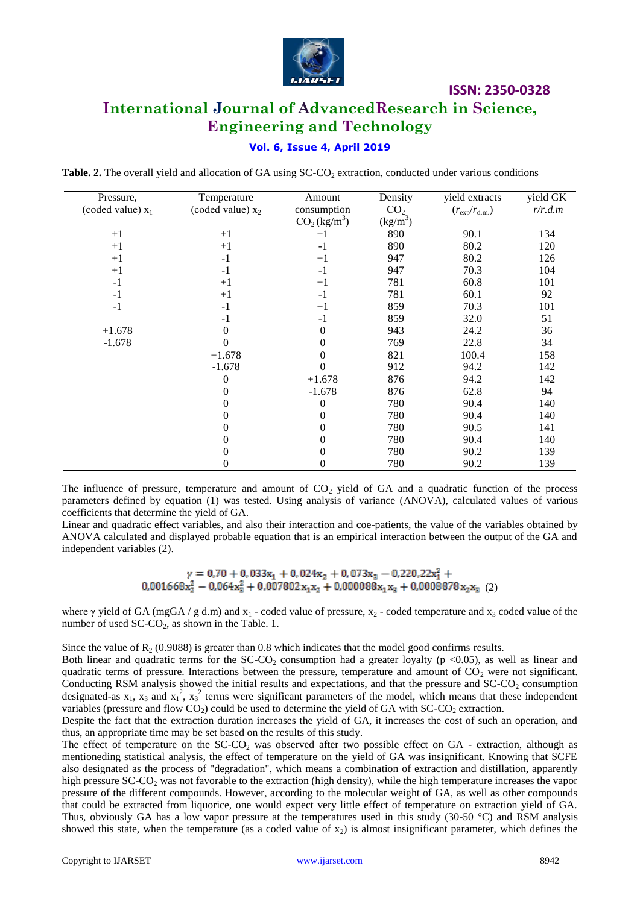

# **International Journal of AdvancedResearch in Science, Engineering and Technology**

#### **Vol. 6, Issue 4, April 2019**

**Table. 2.** The overall yield and allocation of GA using SC-CO<sub>2</sub> extraction, conducted under various conditions

| Pressure,           | Temperature         | Amount                               | Density                    | yield extracts               | yield GK |
|---------------------|---------------------|--------------------------------------|----------------------------|------------------------------|----------|
| (coded value) $x_1$ | (coded value) $x_2$ | consumption                          | CO <sub>2</sub>            | $(r_{\rm exp}/r_{\rm d.m.})$ | r/r.d.m  |
|                     |                     | CO <sub>2</sub> (kg/m <sup>3</sup> ) | $\frac{\text{(kg/m}^3)}{}$ |                              |          |
| $+1$                | $+1$                | $+1$                                 | 890                        | 90.1                         | 134      |
| $+1$                | $+1$                | $-1$                                 | 890                        | 80.2                         | 120      |
| $+1$                | $-1$                | $+1$                                 | 947                        | 80.2                         | 126      |
| $+1$                | $-1$                | $-1$                                 | 947                        | 70.3                         | 104      |
| $-1$                | $+1$                | $+1$                                 | 781                        | 60.8                         | 101      |
| $-1$                | $+1$                | $-1$                                 | 781                        | 60.1                         | 92       |
| $-1$                | $-1$                | $+1$                                 | 859                        | 70.3                         | 101      |
|                     | $-1$                | $-1$                                 | 859                        | 32.0                         | 51       |
| $+1.678$            | 0                   | 0                                    | 943                        | 24.2                         | 36       |
| $-1.678$            |                     | 0                                    | 769                        | 22.8                         | 34       |
|                     | $+1.678$            | 0                                    | 821                        | 100.4                        | 158      |
|                     | $-1.678$            | 0                                    | 912                        | 94.2                         | 142      |
|                     | $\Omega$            | $+1.678$                             | 876                        | 94.2                         | 142      |
|                     | 0                   | $-1.678$                             | 876                        | 62.8                         | 94       |
|                     |                     | 0                                    | 780                        | 90.4                         | 140      |
|                     | 0                   | 0                                    | 780                        | 90.4                         | 140      |
|                     |                     | 0                                    | 780                        | 90.5                         | 141      |
|                     | 0                   | 0                                    | 780                        | 90.4                         | 140      |
|                     | 0                   | 0                                    | 780                        | 90.2                         | 139      |
|                     | 0                   | 0                                    | 780                        | 90.2                         | 139      |

The influence of pressure, temperature and amount of  $CO<sub>2</sub>$  yield of GA and a quadratic function of the process parameters defined by equation (1) was tested. Using analysis of variance (ANOVA), calculated values of various coefficients that determine the yield of GA.

Linear and quadratic effect variables, and also their interaction and coe-patients, the value of the variables obtained by ANOVA calculated and displayed probable equation that is an empirical interaction between the output of the GA and independent variables (2).

 $\gamma = 0.70 + 0.033x_1 + 0.024x_2 + 0.073x_3 - 0.220.22x_1^2 + 0.001668x_2^2 - 0.064x_3^2 + 0.007802x_1x_2 + 0.000088x_1x_3 + 0.0008878x_2x_3$  (2)

where  $\gamma$  yield of GA (mgGA / g d.m) and x<sub>1</sub> - coded value of pressure, x<sub>2</sub> - coded temperature and x<sub>3</sub> coded value of the number of used  $SC-CO<sub>2</sub>$ , as shown in the Table. 1.

Since the value of  $\mathbb{R}_{2}$  (0.9088) is greater than 0.8 which indicates that the model good confirms results.

Both linear and quadratic terms for the SC-CO<sub>2</sub> consumption had a greater loyalty ( $p \lt 0.05$ ), as well as linear and quadratic terms of pressure. Interactions between the pressure, temperature and amount of  $CO<sub>2</sub>$  were not significant. Conducting RSM analysis showed the initial results and expectations, and that the pressure and  $SC-CO<sub>2</sub>$  consumption designated-as  $x_1$ ,  $x_3$  and  $x_1^2$ ,  $x_3^2$  terms were significant parameters of the model, which means that these independent variables (pressure and flow  $CO<sub>2</sub>$ ) could be used to determine the yield of GA with SC-CO<sub>2</sub> extraction.

Despite the fact that the extraction duration increases the yield of GA, it increases the cost of such an operation, and thus, an appropriate time may be set based on the results of this study.

The effect of temperature on the SC-CO<sub>2</sub> was observed after two possible effect on GA - extraction, although as mentioneding statistical analysis, the effect of temperature on the yield of GA was insignificant. Knowing that SCFE also designated as the process of "degradation", which means a combination of extraction and distillation, apparently high pressure SC-CO<sub>2</sub> was not favorable to the extraction (high density), while the high temperature increases the vapor pressure of the different compounds. However, according to the molecular weight of GA, as well as other compounds that could be extracted from liquorice, one would expect very little effect of temperature on extraction yield of GA. Thus, obviously GA has a low vapor pressure at the temperatures used in this study (30-50 °C) and RSM analysis showed this state, when the temperature (as a coded value of  $x_2$ ) is almost insignificant parameter, which defines the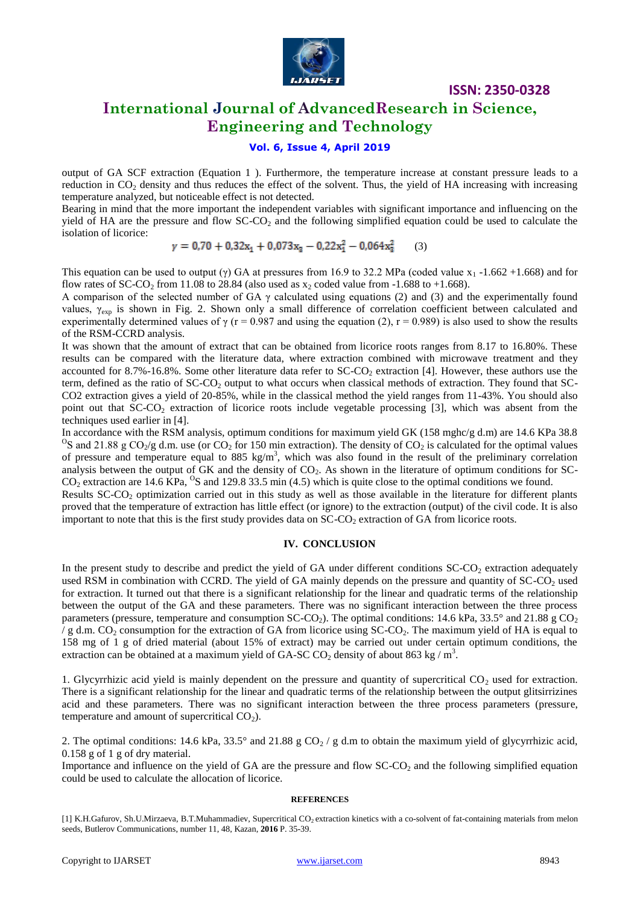

# **International Journal of AdvancedResearch in Science, Engineering and Technology**

## **Vol. 6, Issue 4, April 2019**

output of GA SCF extraction (Equation 1 ). Furthermore, the temperature increase at constant pressure leads to a reduction in  $CO<sub>2</sub>$  density and thus reduces the effect of the solvent. Thus, the yield of HA increasing with increasing temperature analyzed, but noticeable effect is not detected.

Bearing in mind that the more important the independent variables with significant importance and influencing on the yield of HA are the pressure and flow  $SC-CO<sub>2</sub>$  and the following simplified equation could be used to calculate the isolation of licorice:

$$
\gamma = 0.70 + 0.32x_1 + 0.073x_3 - 0.22x_1^2 - 0.064x_3^2 \tag{3}
$$

This equation can be used to output (γ) GA at pressures from 16.9 to 32.2 MPa (coded value x<sub>1</sub> -1.662 +1.668) and for flow rates of SC-CO<sub>2</sub> from 11.08 to 28.84 (also used as  $x_2$  coded value from -1.688 to +1.668).

A comparison of the selected number of GA  $\gamma$  calculated using equations (2) and (3) and the experimentally found values,  $\gamma_{\rm exp}$  is shown in Fig. 2. Shown only a small difference of correlation coefficient between calculated and experimentally determined values of  $\gamma$  (r = 0.987 and using the equation (2), r = 0.989) is also used to show the results of the RSM-CCRD analysis.

It was shown that the amount of extract that can be obtained from licorice roots ranges from 8.17 to 16.80%. These results can be compared with the literature data, where extraction combined with microwave treatment and they accounted for  $8.7\%$ -16.8%. Some other literature data refer to SC-CO<sub>2</sub> extraction [4]. However, these authors use the term, defined as the ratio of  $SC-CO<sub>2</sub>$  output to what occurs when classical methods of extraction. They found that  $SC-$ CO2 extraction gives a yield of 20-85%, while in the classical method the yield ranges from 11-43%. You should also point out that  $SC-CO<sub>2</sub>$  extraction of licorice roots include vegetable processing [3], which was absent from the techniques used earlier in [4].

In accordance with the RSM analysis, optimum conditions for maximum yield GK (158 mghc/g d.m) are 14.6 KPa 38.8 <sup>O</sup>S and 21.88 g CO<sub>2</sub>/g d.m. use (or CO<sub>2</sub> for 150 min extraction). The density of CO<sub>2</sub> is calculated for the optimal values of pressure and temperature equal to 885 kg/m<sup>3</sup>, which was also found in the result of the preliminary correlation analysis between the output of GK and the density of  $CO<sub>2</sub>$ . As shown in the literature of optimum conditions for SC- $CO_2$  extraction are 14.6 KPa, <sup>O</sup>S and 129.8 33.5 min (4.5) which is quite close to the optimal conditions we found.

Results  $SC-CO<sub>2</sub>$  optimization carried out in this study as well as those available in the literature for different plants proved that the temperature of extraction has little effect (or ignore) to the extraction (output) of the civil code. It is also important to note that this is the first study provides data on  $SC-CO<sub>2</sub>$  extraction of GA from licorice roots.

#### **IV. CONCLUSION**

In the present study to describe and predict the yield of GA under different conditions  $SC\text{-}CO<sub>2</sub>$  extraction adequately used RSM in combination with CCRD. The yield of GA mainly depends on the pressure and quantity of  $SC-CO<sub>2</sub>$  used for extraction. It turned out that there is a significant relationship for the linear and quadratic terms of the relationship between the output of the GA and these parameters. There was no significant interaction between the three process parameters (pressure, temperature and consumption SC-CO<sub>2</sub>). The optimal conditions: 14.6 kPa, 33.5° and 21.88 g CO<sub>2</sub>  $\sqrt{g}$  d.m. CO<sub>2</sub> consumption for the extraction of GA from licorice using SC-CO<sub>2</sub>. The maximum yield of HA is equal to 158 mg of 1 g of dried material (about 15% of extract) may be carried out under certain optimum conditions, the extraction can be obtained at a maximum yield of GA-SC CO<sub>2</sub> density of about 863 kg / m<sup>3</sup>.

1. Glycyrrhizic acid yield is mainly dependent on the pressure and quantity of supercritical  $CO<sub>2</sub>$  used for extraction. There is a significant relationship for the linear and quadratic terms of the relationship between the output glitsirrizines acid and these parameters. There was no significant interaction between the three process parameters (pressure, temperature and amount of supercritical  $CO<sub>2</sub>$ ).

2. The optimal conditions: 14.6 kPa, 33.5° and 21.88 g CO<sub>2</sub> / g d.m to obtain the maximum yield of glycyrrhizic acid, 0.158 g of 1 g of dry material.

Importance and influence on the yield of GA are the pressure and flow SC-CO<sub>2</sub> and the following simplified equation could be used to calculate the allocation of licorice.

#### **REFERENCES**

<sup>[1]</sup> K.H.Gafurov, Sh.U.Mirzaeva, B.T.Muhammadiev, Supercritical CO<sub>2</sub> extraction kinetics with a co-solvent of fat-containing materials from melon seeds, Butlerov Communications, number 11, 48, Kazan, **2016** P. 35-39.